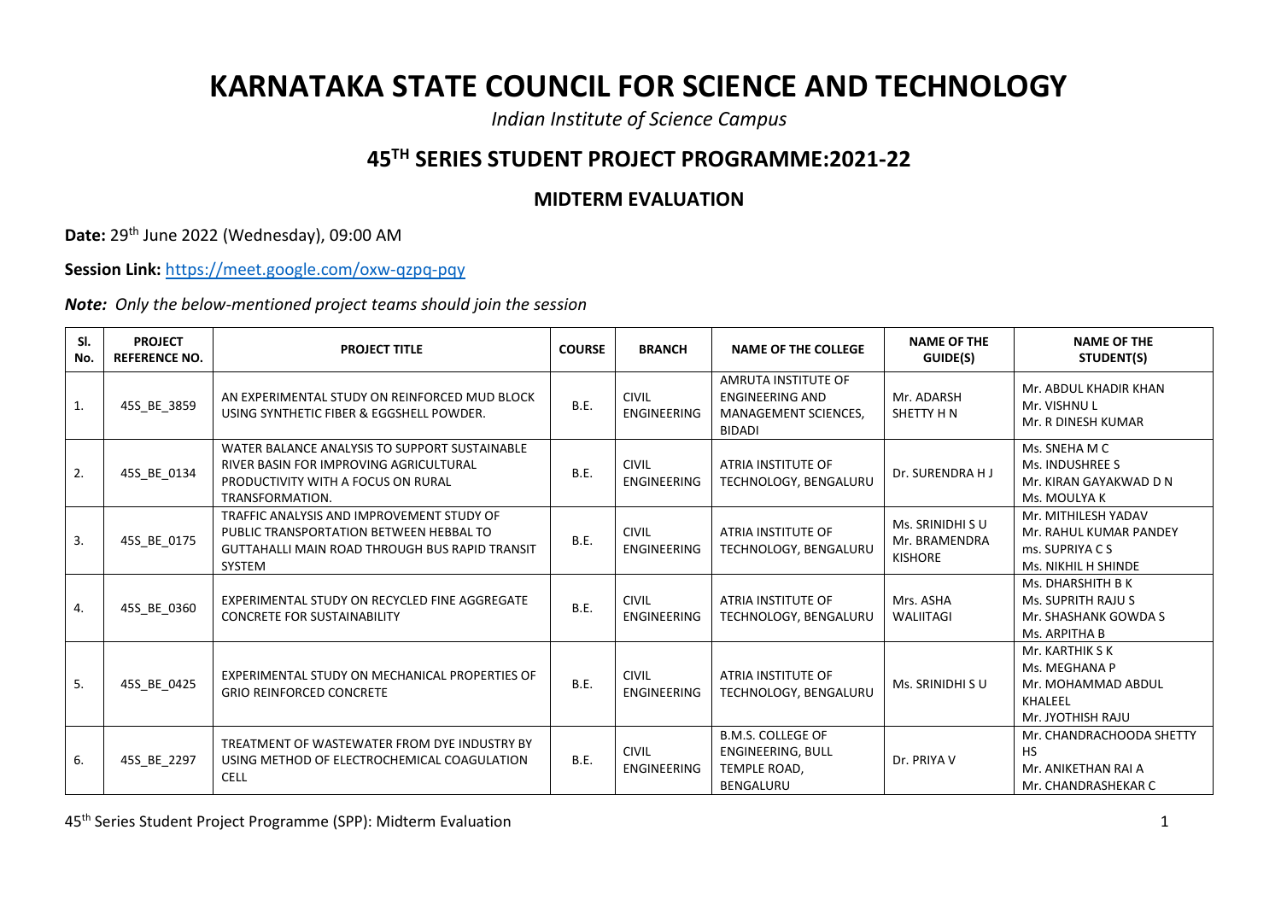## **KARNATAKA STATE COUNCIL FOR SCIENCE AND TECHNOLOGY**

*Indian Institute of Science Campus*

## **45TH SERIES STUDENT PROJECT PROGRAMME:2021-22**

## **MIDTERM EVALUATION**

**Date:** 29th June 2022 (Wednesday), 09:00 AM

**Session Link:** <https://meet.google.com/oxw-qzpq-pqy>

*Note: Only the below-mentioned project teams should join the session*

| SI.<br>No.       | <b>PROJECT</b><br><b>REFERENCE NO.</b> | <b>PROJECT TITLE</b>                                                                                                                             | <b>COURSE</b> | <b>BRANCH</b>                      | <b>NAME OF THE COLLEGE</b>                                                        | <b>NAME OF THE</b><br>GUIDE(S)                      | <b>NAME OF THE</b><br>STUDENT(S)                                                        |
|------------------|----------------------------------------|--------------------------------------------------------------------------------------------------------------------------------------------------|---------------|------------------------------------|-----------------------------------------------------------------------------------|-----------------------------------------------------|-----------------------------------------------------------------------------------------|
| 1.               | 45S_BE_3859                            | AN EXPERIMENTAL STUDY ON REINFORCED MUD BLOCK<br>USING SYNTHETIC FIBER & EGGSHELL POWDER.                                                        | <b>B.E.</b>   | <b>CIVIL</b><br><b>ENGINEERING</b> | AMRUTA INSTITUTE OF<br><b>ENGINEERING AND</b><br>MANAGEMENT SCIENCES,<br>BIDADI   | Mr. ADARSH<br>SHETTY H N                            | Mr. ABDUL KHADIR KHAN<br>Mr. VISHNU L<br>Mr. R DINESH KUMAR                             |
| 2.               | 45S BE 0134                            | WATER BALANCE ANALYSIS TO SUPPORT SUSTAINABLE<br>RIVER BASIN FOR IMPROVING AGRICULTURAL<br>PRODUCTIVITY WITH A FOCUS ON RURAL<br>TRANSFORMATION. | <b>B.E.</b>   | <b>CIVIL</b><br><b>ENGINEERING</b> | ATRIA INSTITUTE OF<br>TECHNOLOGY, BENGALURU                                       | Dr. SURENDRA H J                                    | Ms. SNEHA M C<br>Ms. INDUSHREE S<br>Mr. KIRAN GAYAKWAD D N<br>Ms. MOULYA K              |
| $\overline{3}$ . | 45S_BE_0175                            | TRAFFIC ANALYSIS AND IMPROVEMENT STUDY OF<br>PUBLIC TRANSPORTATION BETWEEN HEBBAL TO<br>GUTTAHALLI MAIN ROAD THROUGH BUS RAPID TRANSIT<br>SYSTEM | <b>B.E.</b>   | <b>CIVIL</b><br><b>ENGINEERING</b> | ATRIA INSTITUTE OF<br>TECHNOLOGY, BENGALURU                                       | Ms. SRINIDHI S U<br>Mr. BRAMENDRA<br><b>KISHORE</b> | Mr. MITHILESH YADAV<br>Mr. RAHUL KUMAR PANDEY<br>ms. SUPRIYA C S<br>Ms. NIKHIL H SHINDE |
| 4.               | 45S BE 0360                            | EXPERIMENTAL STUDY ON RECYCLED FINE AGGREGATE<br><b>CONCRETE FOR SUSTAINABILITY</b>                                                              | B.E.          | <b>CIVIL</b><br><b>ENGINEERING</b> | ATRIA INSTITUTE OF<br>TECHNOLOGY, BENGALURU                                       | Mrs. ASHA<br>WALIITAGI                              | Ms. DHARSHITH B K<br>Ms. SUPRITH RAJU S<br>Mr. SHASHANK GOWDA S<br>Ms. ARPITHA B        |
| 5.               | 45S BE 0425                            | EXPERIMENTAL STUDY ON MECHANICAL PROPERTIES OF<br><b>GRIO REINFORCED CONCRETE</b>                                                                | B.E.          | <b>CIVIL</b><br><b>ENGINEERING</b> | ATRIA INSTITUTE OF<br>TECHNOLOGY, BENGALURU                                       | Ms. SRINIDHI SU                                     | Mr. KARTHIK S K<br>Ms. MEGHANA P<br>Mr. MOHAMMAD ABDUL<br>KHALEEL<br>Mr. JYOTHISH RAJU  |
| 6.               | 45S_BE_2297                            | TREATMENT OF WASTEWATER FROM DYE INDUSTRY BY<br>USING METHOD OF ELECTROCHEMICAL COAGULATION<br>CELL                                              | B.E.          | <b>CIVIL</b><br>ENGINEERING        | <b>B.M.S. COLLEGE OF</b><br><b>ENGINEERING, BULL</b><br>TEMPLE ROAD,<br>BENGALURU | Dr. PRIYA V                                         | Mr. CHANDRACHOODA SHETTY<br><b>HS</b><br>Mr. ANIKETHAN RAI A<br>Mr. CHANDRASHEKAR C     |

45th Series Student Project Programme (SPP): Midterm Evaluation 1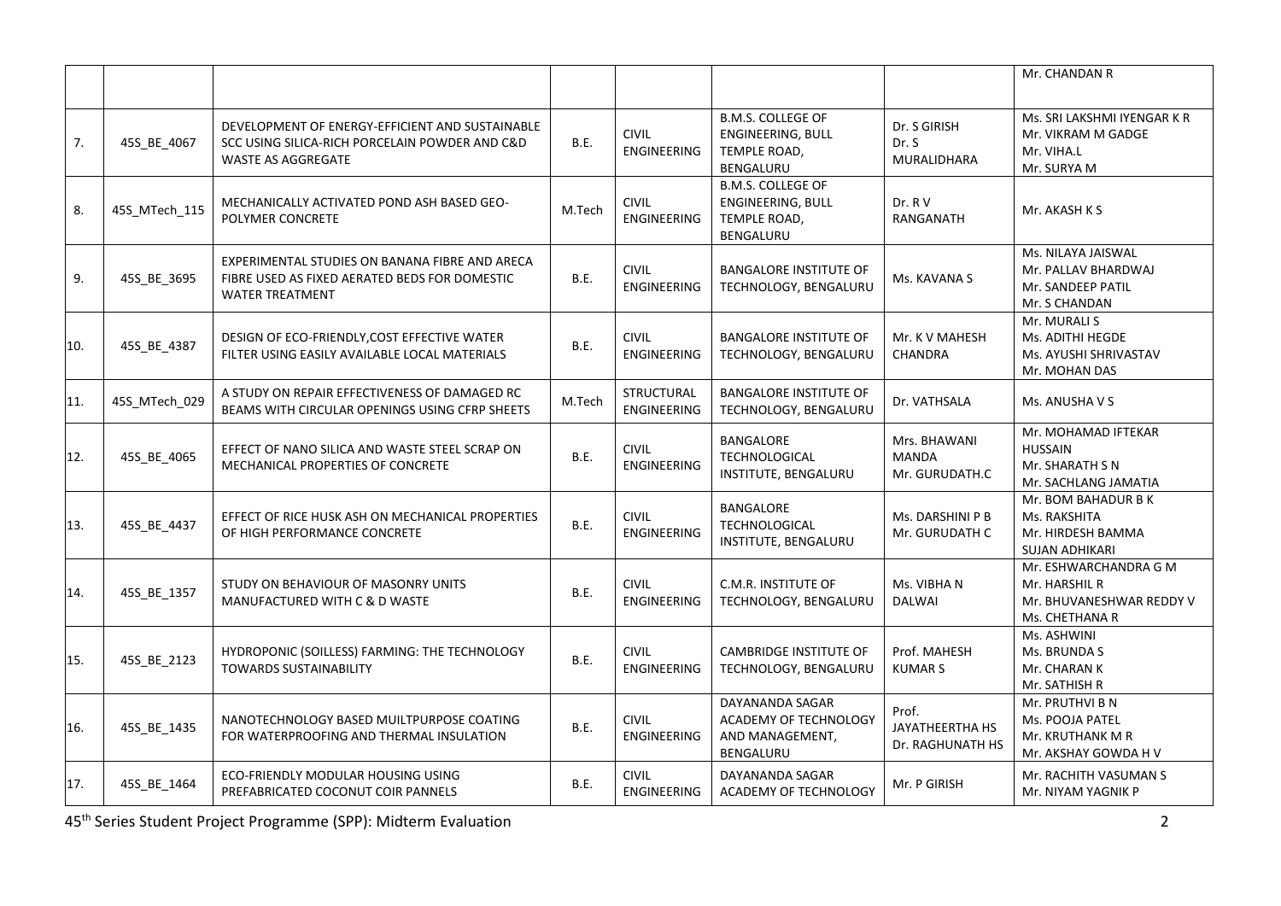|     |               |                                                                                                                                |             |                                         |                                                                            |                                              | Mr. CHANDAN R                                                                        |
|-----|---------------|--------------------------------------------------------------------------------------------------------------------------------|-------------|-----------------------------------------|----------------------------------------------------------------------------|----------------------------------------------|--------------------------------------------------------------------------------------|
| 7.  | 45S_BE_4067   | DEVELOPMENT OF ENERGY-EFFICIENT AND SUSTAINABLE<br>SCC USING SILICA-RICH PORCELAIN POWDER AND C&D<br><b>WASTE AS AGGREGATE</b> | B.E.        | <b>CIVIL</b><br><b>ENGINEERING</b>      | <b>B.M.S. COLLEGE OF</b><br>ENGINEERING, BULL<br>TEMPLE ROAD,<br>BENGALURU | Dr. S GIRISH<br>Dr. S<br>MURALIDHARA         | Ms. SRI LAKSHMI IYENGAR K R<br>Mr. VIKRAM M GADGE<br>Mr. VIHA.L<br>Mr. SURYA M       |
| 8.  | 45S_MTech_115 | MECHANICALLY ACTIVATED POND ASH BASED GEO-<br><b>POLYMER CONCRETE</b>                                                          | M.Tech      | <b>CIVIL</b><br><b>ENGINEERING</b>      | <b>B.M.S. COLLEGE OF</b><br>ENGINEERING, BULL<br>TEMPLE ROAD,<br>BENGALURU | Dr. R V<br>RANGANATH                         | Mr. AKASH K S                                                                        |
| 9.  | 45S BE 3695   | EXPERIMENTAL STUDIES ON BANANA FIBRE AND ARECA<br>FIBRE USED AS FIXED AERATED BEDS FOR DOMESTIC<br><b>WATER TREATMENT</b>      | B.E.        | <b>CIVIL</b><br><b>ENGINEERING</b>      | <b>BANGALORE INSTITUTE OF</b><br>TECHNOLOGY, BENGALURU                     | Ms. KAVANA S                                 | Ms. NILAYA JAISWAL<br>Mr. PALLAV BHARDWAJ<br>Mr. SANDEEP PATIL<br>Mr. S CHANDAN      |
| 10. | 45S_BE_4387   | DESIGN OF ECO-FRIENDLY, COST EFFECTIVE WATER<br>FILTER USING EASILY AVAILABLE LOCAL MATERIALS                                  | <b>B.E.</b> | <b>CIVIL</b><br><b>ENGINEERING</b>      | <b>BANGALORE INSTITUTE OF</b><br>TECHNOLOGY, BENGALURU                     | Mr. K V MAHESH<br>CHANDRA                    | Mr. MURALI S<br>Ms. ADITHI HEGDE<br>Ms. AYUSHI SHRIVASTAV<br>Mr. MOHAN DAS           |
| 11. | 45S MTech 029 | A STUDY ON REPAIR EFFECTIVENESS OF DAMAGED RC<br>BEAMS WITH CIRCULAR OPENINGS USING CFRP SHEETS                                | M.Tech      | <b>STRUCTURAL</b><br><b>ENGINEERING</b> | <b>BANGALORE INSTITUTE OF</b><br>TECHNOLOGY, BENGALURU                     | Dr. VATHSALA                                 | Ms. ANUSHA V S                                                                       |
| 12. | 45S_BE_4065   | EFFECT OF NANO SILICA AND WASTE STEEL SCRAP ON<br>MECHANICAL PROPERTIES OF CONCRETE                                            | B.E.        | <b>CIVIL</b><br><b>ENGINEERING</b>      | <b>BANGALORE</b><br><b>TECHNOLOGICAL</b><br>INSTITUTE, BENGALURU           | Mrs. BHAWANI<br>MANDA<br>Mr. GURUDATH.C      | Mr. MOHAMAD IFTEKAR<br><b>HUSSAIN</b><br>Mr. SHARATH S N<br>Mr. SACHLANG JAMATIA     |
| 13. | 45S BE 4437   | EFFECT OF RICE HUSK ASH ON MECHANICAL PROPERTIES<br>OF HIGH PERFORMANCE CONCRETE                                               | B.E.        | <b>CIVIL</b><br><b>ENGINEERING</b>      | <b>BANGALORE</b><br>TECHNOLOGICAL<br><b>INSTITUTE, BENGALURU</b>           | Ms. DARSHINI P B<br>Mr. GURUDATH C           | Mr. BOM BAHADUR B K<br>Ms. RAKSHITA<br>Mr. HIRDESH BAMMA<br><b>SUJAN ADHIKARI</b>    |
| 14. | 45S BE 1357   | STUDY ON BEHAVIOUR OF MASONRY UNITS<br>MANUFACTURED WITH C & D WASTE                                                           | <b>B.E.</b> | <b>CIVIL</b><br><b>ENGINEERING</b>      | C.M.R. INSTITUTE OF<br>TECHNOLOGY, BENGALURU                               | Ms. VIBHA N<br><b>DALWAI</b>                 | Mr. ESHWARCHANDRA G M<br>Mr. HARSHIL R<br>Mr. BHUVANESHWAR REDDY V<br>Ms. CHETHANA R |
| 15. | 45S_BE_2123   | HYDROPONIC (SOILLESS) FARMING: THE TECHNOLOGY<br><b>TOWARDS SUSTAINABILITY</b>                                                 | <b>B.E.</b> | <b>CIVIL</b><br><b>ENGINEERING</b>      | <b>CAMBRIDGE INSTITUTE OF</b><br>TECHNOLOGY, BENGALURU                     | Prof. MAHESH<br><b>KUMAR S</b>               | Ms. ASHWINI<br>Ms. BRUNDA S<br>Mr. CHARAN K<br>Mr. SATHISH R                         |
| 16. | 45S BE 1435   | NANOTECHNOLOGY BASED MUILTPURPOSE COATING<br>FOR WATERPROOFING AND THERMAL INSULATION                                          | <b>B.E.</b> | <b>CIVIL</b><br><b>ENGINEERING</b>      | DAYANANDA SAGAR<br>ACADEMY OF TECHNOLOGY<br>AND MANAGEMENT,<br>BENGALURU   | Prof.<br>JAYATHEERTHA HS<br>Dr. RAGHUNATH HS | Mr. PRUTHVI B N<br>Ms. POOJA PATEL<br>Mr. KRUTHANK M R<br>Mr. AKSHAY GOWDA H V       |
| 17. | 45S BE 1464   | ECO-FRIENDLY MODULAR HOUSING USING<br>PREFABRICATED COCONUT COIR PANNELS                                                       | B.E.        | <b>CIVIL</b><br><b>ENGINEERING</b>      | DAYANANDA SAGAR<br>ACADEMY OF TECHNOLOGY                                   | Mr. P GIRISH                                 | Mr. RACHITH VASUMAN S<br>Mr. NIYAM YAGNIK P                                          |

45th Series Student Project Programme (SPP): Midterm Evaluation 2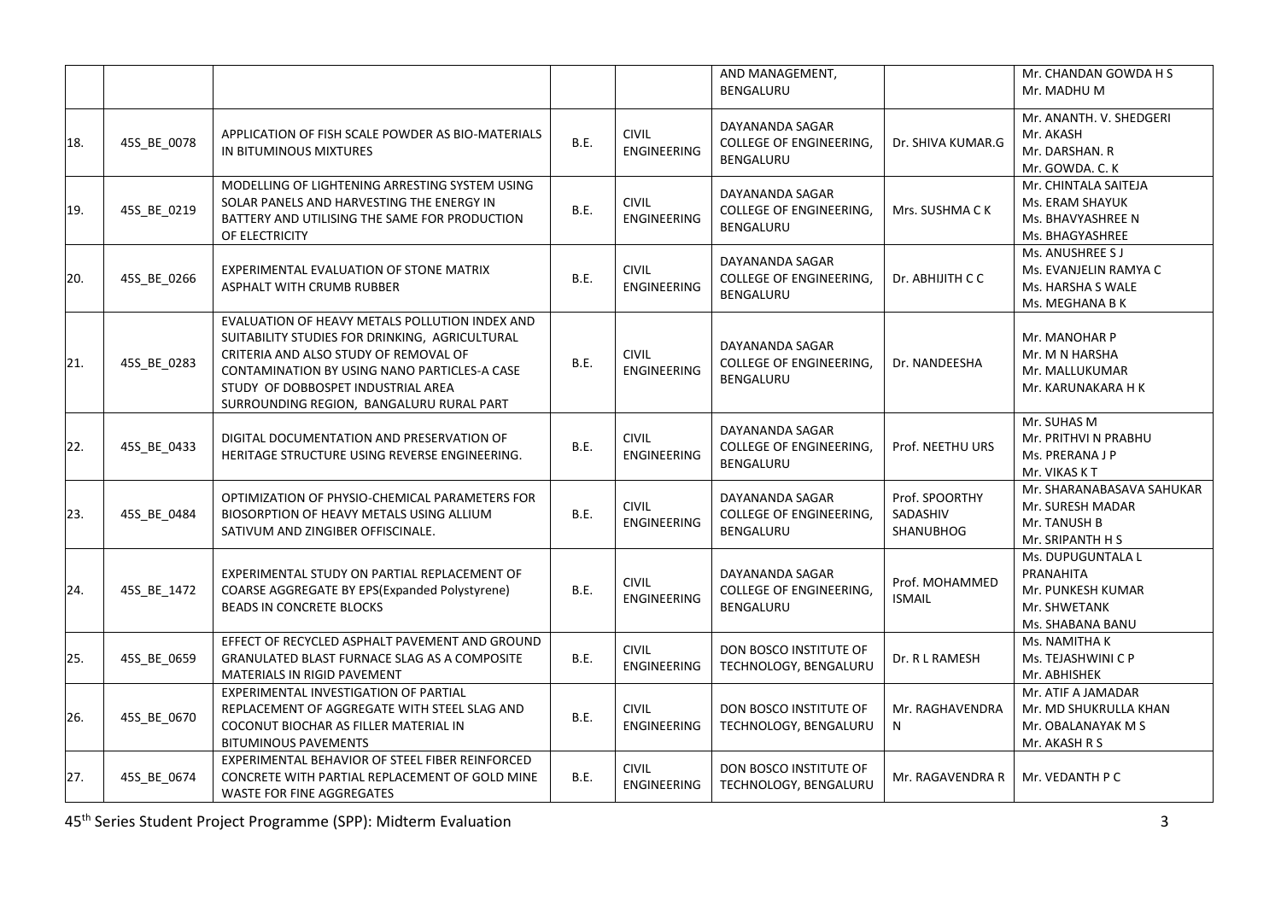|     |             |                                                                                                                                                                                                                                                                             |      |                                    | AND MANAGEMENT,<br>BENGALURU                                   |                                         | Mr. CHANDAN GOWDA H S<br>Mr. MADHU M                                                    |
|-----|-------------|-----------------------------------------------------------------------------------------------------------------------------------------------------------------------------------------------------------------------------------------------------------------------------|------|------------------------------------|----------------------------------------------------------------|-----------------------------------------|-----------------------------------------------------------------------------------------|
| 18. | 45S_BE_0078 | APPLICATION OF FISH SCALE POWDER AS BIO-MATERIALS<br>IN BITUMINOUS MIXTURES                                                                                                                                                                                                 | B.E. | <b>CIVIL</b><br><b>ENGINEERING</b> | DAYANANDA SAGAR<br><b>COLLEGE OF ENGINEERING,</b><br>BENGALURU | Dr. SHIVA KUMAR.G                       | Mr. ANANTH. V. SHEDGERI<br>Mr. AKASH<br>Mr. DARSHAN. R<br>Mr. GOWDA. C. K               |
| 19. | 45S_BE_0219 | MODELLING OF LIGHTENING ARRESTING SYSTEM USING<br>SOLAR PANELS AND HARVESTING THE ENERGY IN<br>BATTERY AND UTILISING THE SAME FOR PRODUCTION<br>OF ELECTRICITY                                                                                                              | B.E. | <b>CIVIL</b><br><b>ENGINEERING</b> | DAYANANDA SAGAR<br>COLLEGE OF ENGINEERING,<br>BENGALURU        | Mrs. SUSHMA C K                         | Mr. CHINTALA SAITEJA<br>Ms. ERAM SHAYUK<br>Ms. BHAVYASHREE N<br>Ms. BHAGYASHREE         |
| 20. | 45S_BE_0266 | EXPERIMENTAL EVALUATION OF STONE MATRIX<br><b>ASPHALT WITH CRUMB RUBBER</b>                                                                                                                                                                                                 | B.E. | <b>CIVIL</b><br><b>ENGINEERING</b> | DAYANANDA SAGAR<br><b>COLLEGE OF ENGINEERING,</b><br>BENGALURU | Dr. ABHIJITH C C                        | Ms. ANUSHREE S J<br>Ms. EVANJELIN RAMYA C<br>Ms. HARSHA S WALE<br>Ms. MEGHANA B K       |
| 21. | 45S_BE_0283 | EVALUATION OF HEAVY METALS POLLUTION INDEX AND<br>SUITABILITY STUDIES FOR DRINKING, AGRICULTURAL<br>CRITERIA AND ALSO STUDY OF REMOVAL OF<br>CONTAMINATION BY USING NANO PARTICLES-A CASE<br>STUDY OF DOBBOSPET INDUSTRIAL AREA<br>SURROUNDING REGION, BANGALURU RURAL PART | B.E. | <b>CIVIL</b><br><b>ENGINEERING</b> | DAYANANDA SAGAR<br><b>COLLEGE OF ENGINEERING,</b><br>BENGALURU | Dr. NANDEESHA                           | Mr. MANOHAR P<br>Mr. M N HARSHA<br>Mr. MALLUKUMAR<br>Mr. KARUNAKARA H K                 |
| 22. | 45S_BE_0433 | DIGITAL DOCUMENTATION AND PRESERVATION OF<br>HERITAGE STRUCTURE USING REVERSE ENGINEERING.                                                                                                                                                                                  | B.E. | <b>CIVIL</b><br><b>ENGINEERING</b> | DAYANANDA SAGAR<br>COLLEGE OF ENGINEERING,<br>BENGALURU        | Prof. NEETHU URS                        | Mr. SUHAS M<br>Mr. PRITHVI N PRABHU<br>Ms. PRERANA J P<br>Mr. VIKAS KT                  |
| 23. | 45S BE 0484 | OPTIMIZATION OF PHYSIO-CHEMICAL PARAMETERS FOR<br>BIOSORPTION OF HEAVY METALS USING ALLIUM<br>SATIVUM AND ZINGIBER OFFISCINALE.                                                                                                                                             | B.E. | <b>CIVIL</b><br><b>ENGINEERING</b> | DAYANANDA SAGAR<br><b>COLLEGE OF ENGINEERING,</b><br>BENGALURU | Prof. SPOORTHY<br>SADASHIV<br>SHANUBHOG | Mr. SHARANABASAVA SAHUKAR<br>Mr. SURESH MADAR<br>Mr. TANUSH B<br>Mr. SRIPANTH H S       |
| 24. | 45S_BE_1472 | EXPERIMENTAL STUDY ON PARTIAL REPLACEMENT OF<br>COARSE AGGREGATE BY EPS(Expanded Polystyrene)<br><b>BEADS IN CONCRETE BLOCKS</b>                                                                                                                                            | B.E. | <b>CIVIL</b><br><b>ENGINEERING</b> | DAYANANDA SAGAR<br><b>COLLEGE OF ENGINEERING,</b><br>BENGALURU | Prof. MOHAMMED<br><b>ISMAIL</b>         | Ms. DUPUGUNTALA L<br>PRANAHITA<br>Mr. PUNKESH KUMAR<br>Mr. SHWETANK<br>Ms. SHABANA BANU |
| 25. | 45S_BE_0659 | EFFECT OF RECYCLED ASPHALT PAVEMENT AND GROUND<br><b>GRANULATED BLAST FURNACE SLAG AS A COMPOSITE</b><br>MATERIALS IN RIGID PAVEMENT                                                                                                                                        | B.E. | <b>CIVIL</b><br>ENGINEERING        | DON BOSCO INSTITUTE OF<br>TECHNOLOGY, BENGALURU                | Dr. R L RAMESH                          | Ms. NAMITHA K<br>Ms. TEJASHWINI C P<br>Mr. ABHISHEK                                     |
| 26. | 45S_BE_0670 | EXPERIMENTAL INVESTIGATION OF PARTIAL<br>REPLACEMENT OF AGGREGATE WITH STEEL SLAG AND<br>COCONUT BIOCHAR AS FILLER MATERIAL IN<br><b>BITUMINOUS PAVEMENTS</b>                                                                                                               | B.E. | <b>CIVIL</b><br><b>ENGINEERING</b> | DON BOSCO INSTITUTE OF<br>TECHNOLOGY, BENGALURU                | Mr. RAGHAVENDRA<br>N                    | Mr. ATIF A JAMADAR<br>Mr. MD SHUKRULLA KHAN<br>Mr. OBALANAYAK M S<br>Mr. AKASH R S      |
| 27. | 45S_BE_0674 | EXPERIMENTAL BEHAVIOR OF STEEL FIBER REINFORCED<br>CONCRETE WITH PARTIAL REPLACEMENT OF GOLD MINE<br>WASTE FOR FINE AGGREGATES                                                                                                                                              | B.E. | <b>CIVIL</b><br><b>ENGINEERING</b> | DON BOSCO INSTITUTE OF<br>TECHNOLOGY, BENGALURU                | Mr. RAGAVENDRA R                        | Mr. VEDANTH P C                                                                         |

45th Series Student Project Programme (SPP): Midterm Evaluation 3